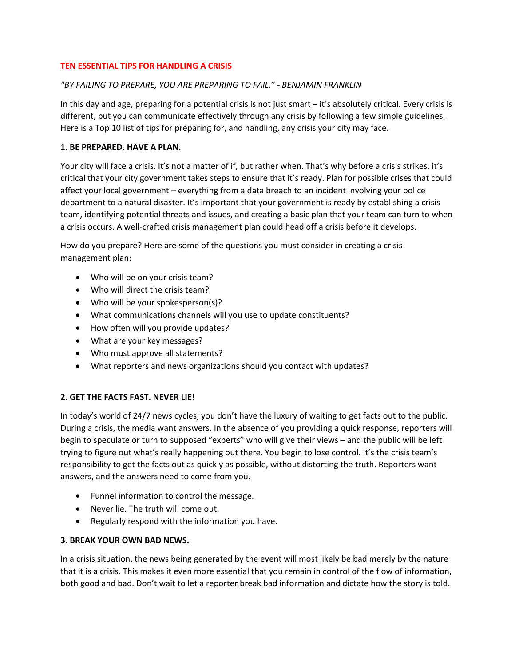#### **TEN ESSENTIAL TIPS FOR HANDLING A CRISIS**

### *"BY FAILING TO PREPARE, YOU ARE PREPARING TO FAIL." - BENJAMIN FRANKLIN*

In this day and age, preparing for a potential crisis is not just smart – it's absolutely critical. Every crisis is different, but you can communicate effectively through any crisis by following a few simple guidelines. Here is a Top 10 list of tips for preparing for, and handling, any crisis your city may face.

#### **1. BE PREPARED. HAVE A PLAN.**

Your city will face a crisis. It's not a matter of if, but rather when. That's why before a crisis strikes, it's critical that your city government takes steps to ensure that it's ready. Plan for possible crises that could affect your local government – everything from a data breach to an incident involving your police department to a natural disaster. It's important that your government is ready by establishing a crisis team, identifying potential threats and issues, and creating a basic plan that your team can turn to when a crisis occurs. A well-crafted crisis management plan could head off a crisis before it develops.

How do you prepare? Here are some of the questions you must consider in creating a crisis management plan:

- Who will be on your crisis team?
- Who will direct the crisis team?
- Who will be your spokesperson(s)?
- What communications channels will you use to update constituents?
- How often will you provide updates?
- What are your key messages?
- Who must approve all statements?
- What reporters and news organizations should you contact with updates?

### **2. GET THE FACTS FAST. NEVER LIE!**

In today's world of 24/7 news cycles, you don't have the luxury of waiting to get facts out to the public. During a crisis, the media want answers. In the absence of you providing a quick response, reporters will begin to speculate or turn to supposed "experts" who will give their views – and the public will be left trying to figure out what's really happening out there. You begin to lose control. It's the crisis team's responsibility to get the facts out as quickly as possible, without distorting the truth. Reporters want answers, and the answers need to come from you.

- Funnel information to control the message.
- Never lie. The truth will come out.
- Regularly respond with the information you have.

### **3. BREAK YOUR OWN BAD NEWS.**

In a crisis situation, the news being generated by the event will most likely be bad merely by the nature that it is a crisis. This makes it even more essential that you remain in control of the flow of information, both good and bad. Don't wait to let a reporter break bad information and dictate how the story is told.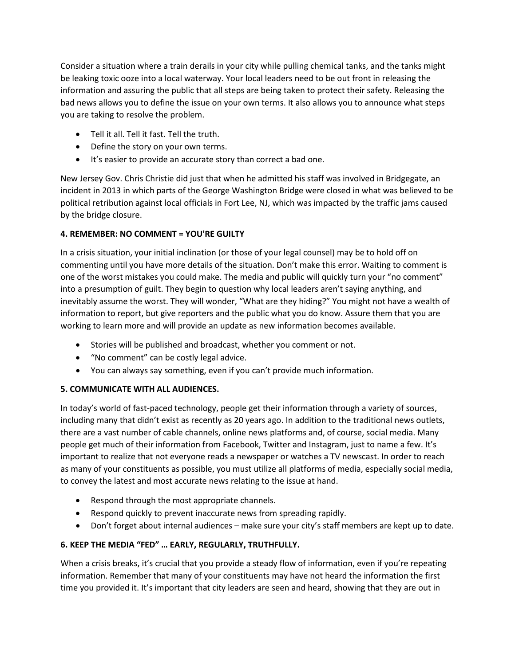Consider a situation where a train derails in your city while pulling chemical tanks, and the tanks might be leaking toxic ooze into a local waterway. Your local leaders need to be out front in releasing the information and assuring the public that all steps are being taken to protect their safety. Releasing the bad news allows you to define the issue on your own terms. It also allows you to announce what steps you are taking to resolve the problem.

- Tell it all. Tell it fast. Tell the truth.
- Define the story on your own terms.
- It's easier to provide an accurate story than correct a bad one.

New Jersey Gov. Chris Christie did just that when he admitted his staff was involved in Bridgegate, an incident in 2013 in which parts of the George Washington Bridge were closed in what was believed to be political retribution against local officials in Fort Lee, NJ, which was impacted by the traffic jams caused by the bridge closure.

# **4. REMEMBER: NO COMMENT = YOU'RE GUILTY**

In a crisis situation, your initial inclination (or those of your legal counsel) may be to hold off on commenting until you have more details of the situation. Don't make this error. Waiting to comment is one of the worst mistakes you could make. The media and public will quickly turn your "no comment" into a presumption of guilt. They begin to question why local leaders aren't saying anything, and inevitably assume the worst. They will wonder, "What are they hiding?" You might not have a wealth of information to report, but give reporters and the public what you do know. Assure them that you are working to learn more and will provide an update as new information becomes available.

- Stories will be published and broadcast, whether you comment or not.
- "No comment" can be costly legal advice.
- You can always say something, even if you can't provide much information.

# **5. COMMUNICATE WITH ALL AUDIENCES.**

In today's world of fast-paced technology, people get their information through a variety of sources, including many that didn't exist as recently as 20 years ago. In addition to the traditional news outlets, there are a vast number of cable channels, online news platforms and, of course, social media. Many people get much of their information from Facebook, Twitter and Instagram, just to name a few. It's important to realize that not everyone reads a newspaper or watches a TV newscast. In order to reach as many of your constituents as possible, you must utilize all platforms of media, especially social media, to convey the latest and most accurate news relating to the issue at hand.

- Respond through the most appropriate channels.
- Respond quickly to prevent inaccurate news from spreading rapidly.
- Don't forget about internal audiences make sure your city's staff members are kept up to date.

# **6. KEEP THE MEDIA "FED" … EARLY, REGULARLY, TRUTHFULLY.**

When a crisis breaks, it's crucial that you provide a steady flow of information, even if you're repeating information. Remember that many of your constituents may have not heard the information the first time you provided it. It's important that city leaders are seen and heard, showing that they are out in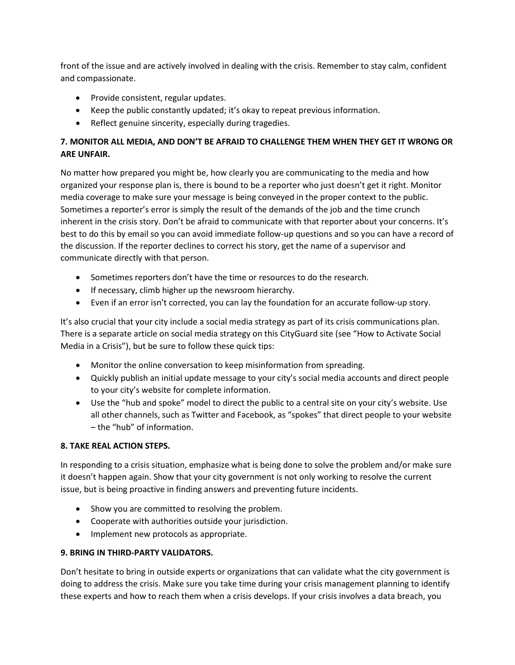front of the issue and are actively involved in dealing with the crisis. Remember to stay calm, confident and compassionate.

- Provide consistent, regular updates.
- Keep the public constantly updated; it's okay to repeat previous information.
- Reflect genuine sincerity, especially during tragedies.

## **7. MONITOR ALL MEDIA, AND DON'T BE AFRAID TO CHALLENGE THEM WHEN THEY GET IT WRONG OR ARE UNFAIR.**

No matter how prepared you might be, how clearly you are communicating to the media and how organized your response plan is, there is bound to be a reporter who just doesn't get it right. Monitor media coverage to make sure your message is being conveyed in the proper context to the public. Sometimes a reporter's error is simply the result of the demands of the job and the time crunch inherent in the crisis story. Don't be afraid to communicate with that reporter about your concerns. It's best to do this by email so you can avoid immediate follow-up questions and so you can have a record of the discussion. If the reporter declines to correct his story, get the name of a supervisor and communicate directly with that person.

- Sometimes reporters don't have the time or resources to do the research.
- If necessary, climb higher up the newsroom hierarchy.
- Even if an error isn't corrected, you can lay the foundation for an accurate follow-up story.

It's also crucial that your city include a social media strategy as part of its crisis communications plan. There is a separate article on social media strategy on this CityGuard site (see "How to Activate Social Media in a Crisis"), but be sure to follow these quick tips:

- Monitor the online conversation to keep misinformation from spreading.
- Quickly publish an initial update message to your city's social media accounts and direct people to your city's website for complete information.
- Use the "hub and spoke" model to direct the public to a central site on your city's website. Use all other channels, such as Twitter and Facebook, as "spokes" that direct people to your website – the "hub" of information.

### **8. TAKE REAL ACTION STEPS.**

In responding to a crisis situation, emphasize what is being done to solve the problem and/or make sure it doesn't happen again. Show that your city government is not only working to resolve the current issue, but is being proactive in finding answers and preventing future incidents.

- Show you are committed to resolving the problem.
- Cooperate with authorities outside your jurisdiction.
- Implement new protocols as appropriate.

### **9. BRING IN THIRD-PARTY VALIDATORS.**

Don't hesitate to bring in outside experts or organizations that can validate what the city government is doing to address the crisis. Make sure you take time during your crisis management planning to identify these experts and how to reach them when a crisis develops. If your crisis involves a data breach, you